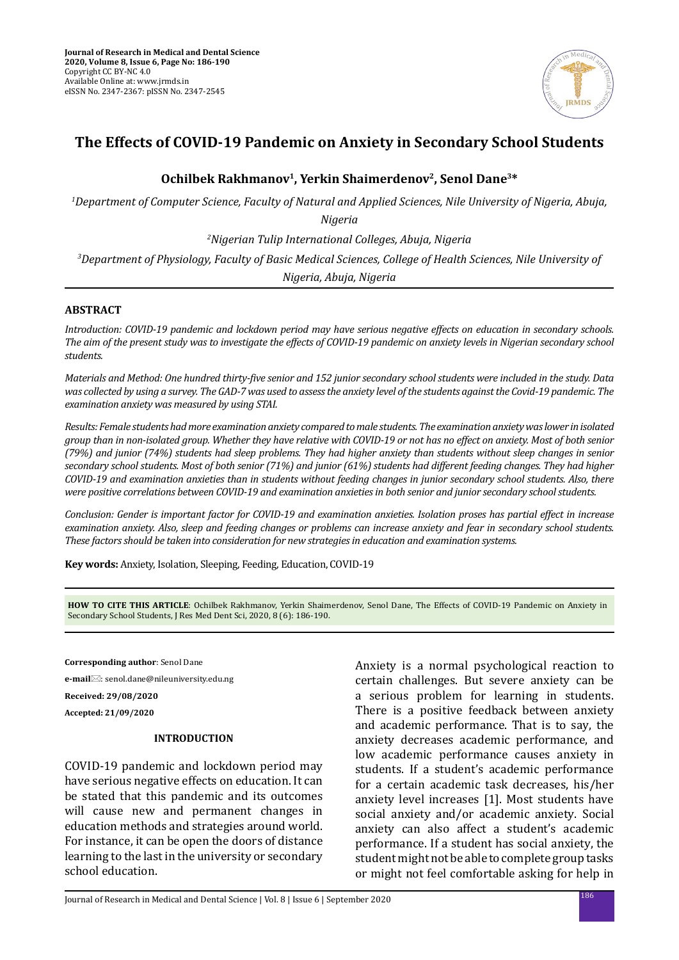

# **The Effects of COVID-19 Pandemic on Anxiety in Secondary School Students**

# Ochilbek Rakhmanov<sup>1</sup>, Yerkin Shaimerdenov<sup>2</sup>, Senol Dane<sup>3\*</sup>

*1 Department of Computer Science, Faculty of Natural and Applied Sciences, Nile University of Nigeria, Abuja,* 

*Nigeria*

*2 Nigerian Tulip International Colleges, Abuja, Nigeria*

*3 Department of Physiology, Faculty of Basic Medical Sciences, College of Health Sciences, Nile University of Nigeria, Abuja, Nigeria*

### **ABSTRACT**

*Introduction: COVID-19 pandemic and lockdown period may have serious negative effects on education in secondary schools. The aim of the present study was to investigate the effects of COVID-19 pandemic on anxiety levels in Nigerian secondary school students.*

*Materials and Method: One hundred thirty-five senior and 152 junior secondary school students were included in the study. Data was collected by using a survey. The GAD-7 was used to assess the anxiety level of the students against the Covid-19 pandemic. The examination anxiety was measured by using STAI.* 

*Results: Female students had more examination anxiety compared to male students. The examination anxiety was lower in isolated group than in non-isolated group. Whether they have relative with COVID-19 or not has no effect on anxiety. Most of both senior (79%) and junior (74%) students had sleep problems. They had higher anxiety than students without sleep changes in senior secondary school students. Most of both senior (71%) and junior (61%) students had different feeding changes. They had higher COVID-19 and examination anxieties than in students without feeding changes in junior secondary school students. Also, there were positive correlations between COVID-19 and examination anxieties in both senior and junior secondary school students.* 

*Conclusion: Gender is important factor for COVID-19 and examination anxieties. Isolation proses has partial effect in increase examination anxiety. Also, sleep and feeding changes or problems can increase anxiety and fear in secondary school students. These factors should be taken into consideration for new strategies in education and examination systems.*

**Key words:** Anxiety, Isolation, Sleeping, Feeding, Education, COVID-19

**HOW TO CITE THIS ARTICLE**: Ochilbek Rakhmanov, Yerkin Shaimerdenov, Senol Dane, The Effects of COVID-19 Pandemic on Anxiety in Secondary School Students, J Res Med Dent Sci, 2020, 8 (6): 186-190.

**Corresponding author**: Senol Dane

**e-mail**: senol.dane@nileuniversity.edu.ng

**Received: 29/08/2020**

**Accepted: 21/09/2020**

### **INTRODUCTION**

COVID-19 pandemic and lockdown period may have serious negative effects on education. It can be stated that this pandemic and its outcomes will cause new and permanent changes in education methods and strategies around world. For instance, it can be open the doors of distance learning to the last in the university or secondary school education.

Anxiety is a normal psychological reaction to certain challenges. But severe anxiety can be a serious problem for learning in students. There is a positive feedback between anxiety and academic performance. That is to say, the anxiety decreases academic performance, and low academic performance causes anxiety in students. If a student's academic performance for a certain academic task decreases, his/her anxiety level increases [1]. Most students have social anxiety and/or academic anxiety. Social anxiety can also affect a student's academic performance. If a student has social anxiety, the student might not be able to complete group tasks or might not feel comfortable asking for help in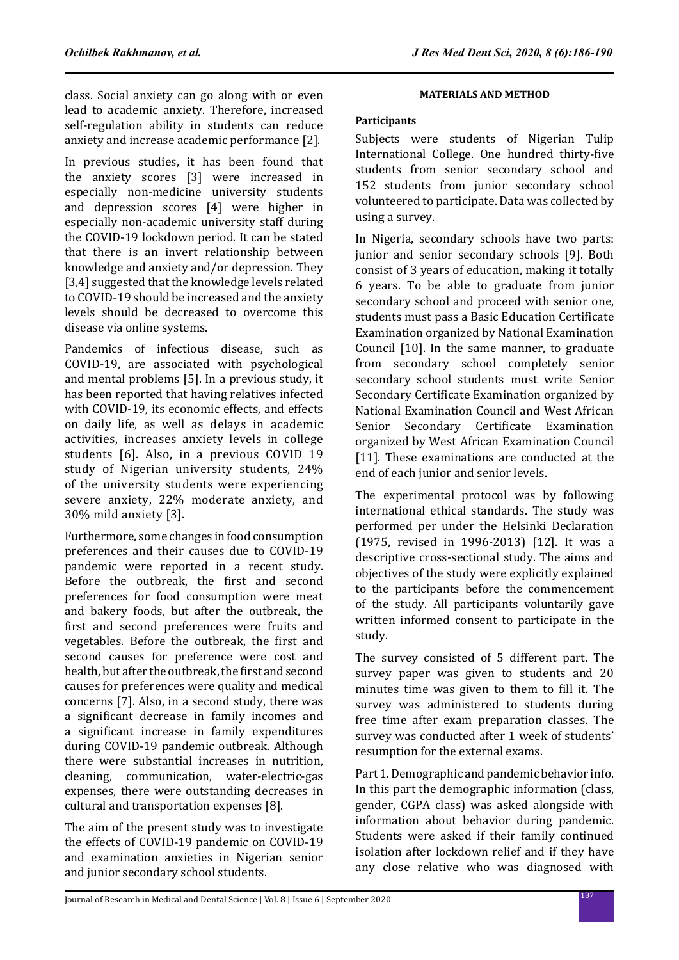class. Social anxiety can go along with or even lead to academic anxiety. Therefore, increased self-regulation ability in students can reduce anxiety and increase academic performance [2].

In previous studies, it has been found that the anxiety scores [3] were increased in especially non-medicine university students and depression scores [4] were higher in especially non-academic university staff during the COVID-19 lockdown period. It can be stated that there is an invert relationship between knowledge and anxiety and/or depression. They [3,4] suggested that the knowledge levels related to COVID-19 should be increased and the anxiety levels should be decreased to overcome this disease via online systems.

Pandemics of infectious disease, such as COVID-19, are associated with psychological and mental problems [5]. In a previous study, it has been reported that having relatives infected with COVID-19, its economic effects, and effects on daily life, as well as delays in academic activities, increases anxiety levels in college students [6]. Also, in a previous COVID 19 study of Nigerian university students, 24% of the university students were experiencing severe anxiety, 22% moderate anxiety, and 30% mild anxiety [3].

Furthermore, some changes in food consumption preferences and their causes due to COVID-19 pandemic were reported in a recent study. Before the outbreak, the first and second preferences for food consumption were meat and bakery foods, but after the outbreak, the first and second preferences were fruits and vegetables. Before the outbreak, the first and second causes for preference were cost and health, but after the outbreak, the first and second causes for preferences were quality and medical concerns [7]. Also, in a second study, there was a significant decrease in family incomes and a significant increase in family expenditures during COVID-19 pandemic outbreak. Although there were substantial increases in nutrition, cleaning, communication, water-electric-gas expenses, there were outstanding decreases in cultural and transportation expenses [8].

The aim of the present study was to investigate the effects of COVID-19 pandemic on COVID-19 and examination anxieties in Nigerian senior and junior secondary school students.

# **MATERIALS AND METHOD**

### **Participants**

Subjects were students of Nigerian Tulip International College. One hundred thirty-five students from senior secondary school and 152 students from junior secondary school volunteered to participate. Data was collected by using a survey.

In Nigeria, secondary schools have two parts: junior and senior secondary schools [9]. Both consist of 3 years of education, making it totally 6 years. To be able to graduate from junior secondary school and proceed with senior one, students must pass a Basic Education Certificate Examination organized by National Examination Council [10]. In the same manner, to graduate from secondary school completely senior secondary school students must write Senior Secondary Certificate Examination organized by National Examination Council and West African Senior Secondary Certificate Examination organized by West African Examination Council [11]. These examinations are conducted at the end of each junior and senior levels.

The experimental protocol was by following international ethical standards. The study was performed per under the Helsinki Declaration (1975, revised in 1996-2013) [12]. It was a descriptive cross-sectional study. The aims and objectives of the study were explicitly explained to the participants before the commencement of the study. All participants voluntarily gave written informed consent to participate in the study.

The survey consisted of 5 different part. The survey paper was given to students and 20 minutes time was given to them to fill it. The survey was administered to students during free time after exam preparation classes. The survey was conducted after 1 week of students' resumption for the external exams.

Part 1. Demographic and pandemic behavior info. In this part the demographic information (class, gender, CGPA class) was asked alongside with information about behavior during pandemic. Students were asked if their family continued isolation after lockdown relief and if they have any close relative who was diagnosed with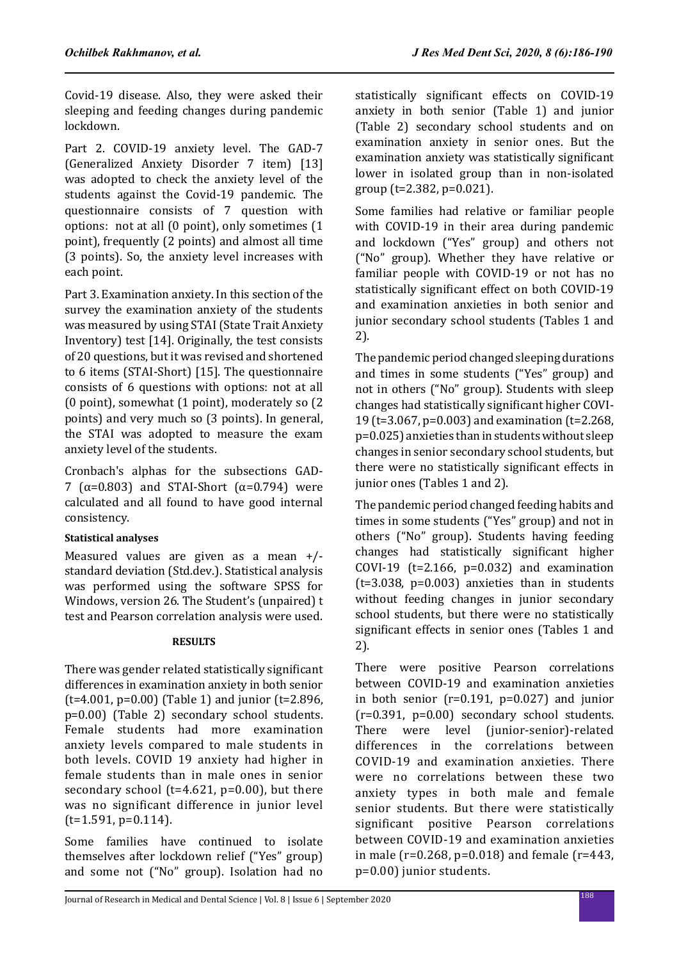Covid-19 disease. Also, they were asked their sleeping and feeding changes during pandemic lockdown.

Part 2. COVID-19 anxiety level. The GAD-7 (Generalized Anxiety Disorder 7 item) [13] was adopted to check the anxiety level of the students against the Covid-19 pandemic. The questionnaire consists of 7 question with options: not at all (0 point), only sometimes (1 point), frequently (2 points) and almost all time (3 points). So, the anxiety level increases with each point.

Part 3. Examination anxiety. In this section of the survey the examination anxiety of the students was measured by using STAI (State Trait Anxiety Inventory) test [14]. Originally, the test consists of 20 questions, but it was revised and shortened to 6 items (STAI-Short) [15]. The questionnaire consists of 6 questions with options: not at all (0 point), somewhat (1 point), moderately so (2 points) and very much so (3 points). In general, the STAI was adopted to measure the exam anxiety level of the students.

Cronbach's alphas for the subsections GAD-7 ( $\alpha$ =0.803) and STAI-Short ( $\alpha$ =0.794) were calculated and all found to have good internal consistency.

# **Statistical analyses**

Measured values are given as a mean +/ standard deviation (Std.dev.). Statistical analysis was performed using the software SPSS for Windows, version 26. The Student's (unpaired) t test and Pearson correlation analysis were used.

# **RESULTS**

There was gender related statistically significant differences in examination anxiety in both senior ( $t=4.001$ ,  $p=0.00$ ) (Table 1) and junior ( $t=2.896$ , p=0.00) (Table 2) secondary school students. Female students had more examination anxiety levels compared to male students in both levels. COVID 19 anxiety had higher in female students than in male ones in senior secondary school ( $t=4.621$ ,  $p=0.00$ ), but there was no significant difference in junior level  $(t=1.591, p=0.114)$ .

Some families have continued to isolate themselves after lockdown relief ("Yes" group) and some not ("No" group). Isolation had no statistically significant effects on COVID-19 anxiety in both senior (Table 1) and junior (Table 2) secondary school students and on examination anxiety in senior ones. But the examination anxiety was statistically significant lower in isolated group than in non-isolated group (t=2.382, p=0.021).

Some families had relative or familiar people with COVID-19 in their area during pandemic and lockdown ("Yes" group) and others not ("No" group). Whether they have relative or familiar people with COVID-19 or not has no statistically significant effect on both COVID-19 and examination anxieties in both senior and junior secondary school students (Tables 1 and 2).

The pandemic period changed sleeping durations and times in some students ("Yes" group) and not in others ("No" group). Students with sleep changes had statistically significant higher COVI-19 (t=3.067, p=0.003) and examination (t=2.268, p=0.025) anxieties than in students without sleep changes in senior secondary school students, but there were no statistically significant effects in junior ones (Tables 1 and 2).

The pandemic period changed feeding habits and times in some students ("Yes" group) and not in others ("No" group). Students having feeding changes had statistically significant higher COVI-19 ( $t=2.166$ ,  $p=0.032$ ) and examination (t=3.038, p=0.003) anxieties than in students without feeding changes in junior secondary school students, but there were no statistically significant effects in senior ones (Tables 1 and 2).

There were positive Pearson correlations between COVID-19 and examination anxieties in both senior ( $r=0.191$ ,  $p=0.027$ ) and junior  $(r=0.391, p=0.00)$  secondary school students. There were level (junior-senior)-related differences in the correlations between COVID-19 and examination anxieties. There were no correlations between these two anxiety types in both male and female senior students. But there were statistically significant positive Pearson correlations between COVID-19 and examination anxieties in male (r=0.268, p=0.018) and female (r=443, p=0.00) junior students.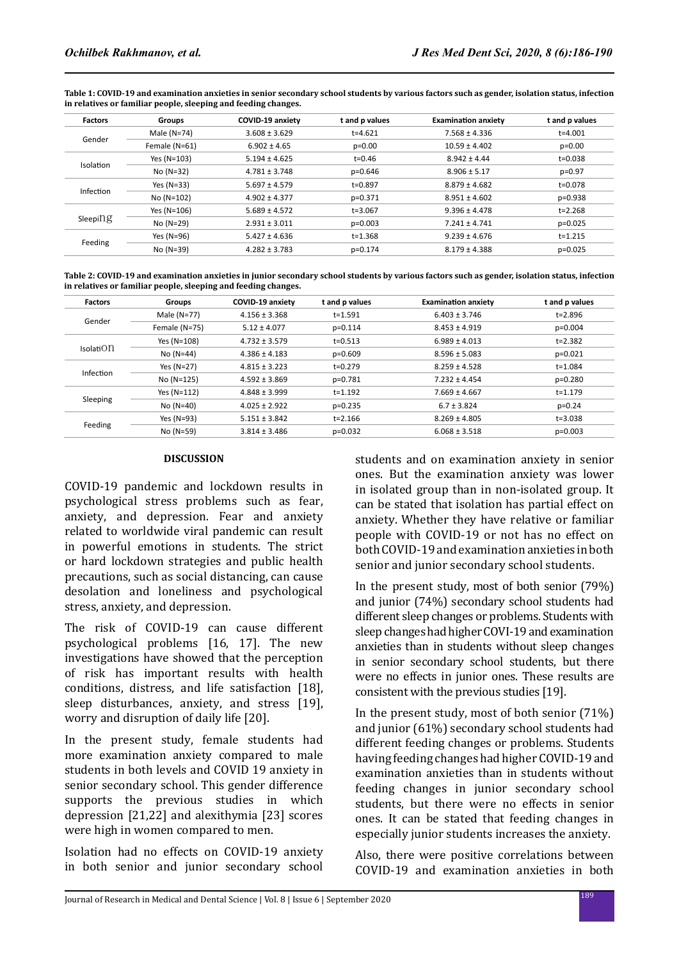**Table 1: COVID-19 and examination anxieties in senior secondary school students by various factors such as gender, isolation status, infection in relatives or familiar people, sleeping and feeding changes.**

| <b>Factors</b> | Groups        | COVID-19 anxiety  | t and p values | <b>Examination anxiety</b> | t and p values |
|----------------|---------------|-------------------|----------------|----------------------------|----------------|
| Gender         | Male $(N=74)$ | $3.608 \pm 3.629$ | $t = 4.621$    | $7.568 \pm 4.336$          | $t = 4.001$    |
|                | Female (N=61) | $6.902 \pm 4.65$  | $p=0.00$       | $10.59 \pm 4.402$          | $p=0.00$       |
| Isolation      | Yes (N=103)   | $5.194 \pm 4.625$ | $t = 0.46$     | $8.942 \pm 4.44$           | $t = 0.038$    |
|                | $No (N=32)$   | $4.781 \pm 3.748$ | $p=0.646$      | $8.906 \pm 5.17$           | $p=0.97$       |
| Infection      | Yes $(N=33)$  | $5.697 \pm 4.579$ | $t = 0.897$    | $8.879 \pm 4.682$          | t=0.078        |
|                | No (N=102)    | $4.902 \pm 4.377$ | $p=0.371$      | $8.951 \pm 4.602$          | $p=0.938$      |
| $Sleepi\Omega$ | Yes (N=106)   | $5.689 \pm 4.572$ | $t = 3.067$    | $9.396 \pm 4.478$          | $t = 2.268$    |
|                | $No (N=29)$   | $2.931 \pm 3.011$ | $p=0.003$      | $7.241 \pm 4.741$          | $p=0.025$      |
| Feeding        | Yes (N=96)    | $5.427 \pm 4.636$ | $t = 1.368$    | $9.239 \pm 4.676$          | $t = 1.215$    |
|                | $No (N=39)$   | $4.282 \pm 3.783$ | $p=0.174$      | $8.179 \pm 4.388$          | $p=0.025$      |

**Table 2: COVID-19 and examination anxieties in junior secondary school students by various factors such as gender, isolation status, infection in relatives or familiar people, sleeping and feeding changes.**

| <b>Factors</b>   | Groups        | COVID-19 anxiety  | t and p values | <b>Examination anxiety</b> | t and p values |
|------------------|---------------|-------------------|----------------|----------------------------|----------------|
| Gender           | Male (N=77)   | $4.156 \pm 3.368$ | $t = 1.591$    | $6.403 \pm 3.746$          | t=2.896        |
|                  | Female (N=75) | $5.12 \pm 4.077$  | $p=0.114$      | $8.453 \pm 4.919$          | $p=0.004$      |
| <b>IsolatiOn</b> | Yes (N=108)   | $4.732 \pm 3.579$ | $t = 0.513$    | $6.989 \pm 4.013$          | $t = 2.382$    |
|                  | $No (N=44)$   | $4.386 \pm 4.183$ | $p=0.609$      | $8.596 \pm 5.083$          | $p=0.021$      |
| Infection        | Yes $(N=27)$  | $4.815 \pm 3.223$ | $t=0.279$      | $8.259 \pm 4.528$          | $t = 1.084$    |
|                  | No (N=125)    | $4.592 \pm 3.869$ | p=0.781        | $7.232 \pm 4.454$          | $p=0.280$      |
| Sleeping         | Yes $(N=112)$ | $4.848 \pm 3.999$ | $t = 1.192$    | $7.669 \pm 4.667$          | $t = 1.179$    |
|                  | $No (N=40)$   | $4.025 \pm 2.922$ | $p=0.235$      | $6.7 \pm 3.824$            | $p=0.24$       |
| Feeding          | Yes (N=93)    | $5.151 \pm 3.842$ | $t = 2.166$    | $8.269 \pm 4.805$          | $t = 3.038$    |
|                  | No (N=59)     | $3.814 \pm 3.486$ | $p=0.032$      | $6.068 \pm 3.518$          | $p=0.003$      |

### **DISCUSSION**

COVID-19 pandemic and lockdown results in psychological stress problems such as fear, anxiety, and depression. Fear and anxiety related to worldwide viral pandemic can result in powerful emotions in students. The strict or hard lockdown strategies and public health precautions, such as social distancing, can cause desolation and loneliness and psychological stress, anxiety, and depression.

The risk of COVID-19 can cause different psychological problems [16, 17]. The new investigations have showed that the perception of risk has important results with health conditions, distress, and life satisfaction [18], sleep disturbances, anxiety, and stress [19], worry and disruption of daily life [20].

In the present study, female students had more examination anxiety compared to male students in both levels and COVID 19 anxiety in senior secondary school. This gender difference supports the previous studies in which depression [21,22] and alexithymia [23] scores were high in women compared to men.

Isolation had no effects on COVID-19 anxiety in both senior and junior secondary school students and on examination anxiety in senior ones. But the examination anxiety was lower in isolated group than in non-isolated group. It can be stated that isolation has partial effect on anxiety. Whether they have relative or familiar people with COVID-19 or not has no effect on both COVID-19 and examination anxieties in both senior and junior secondary school students.

In the present study, most of both senior (79%) and junior (74%) secondary school students had different sleep changes or problems. Students with sleep changes had higher COVI-19 and examination anxieties than in students without sleep changes in senior secondary school students, but there were no effects in junior ones. These results are consistent with the previous studies [19].

In the present study, most of both senior (71%) and junior (61%) secondary school students had different feeding changes or problems. Students having feeding changes had higher COVID-19 and examination anxieties than in students without feeding changes in junior secondary school students, but there were no effects in senior ones. It can be stated that feeding changes in especially junior students increases the anxiety.

Also, there were positive correlations between COVID-19 and examination anxieties in both